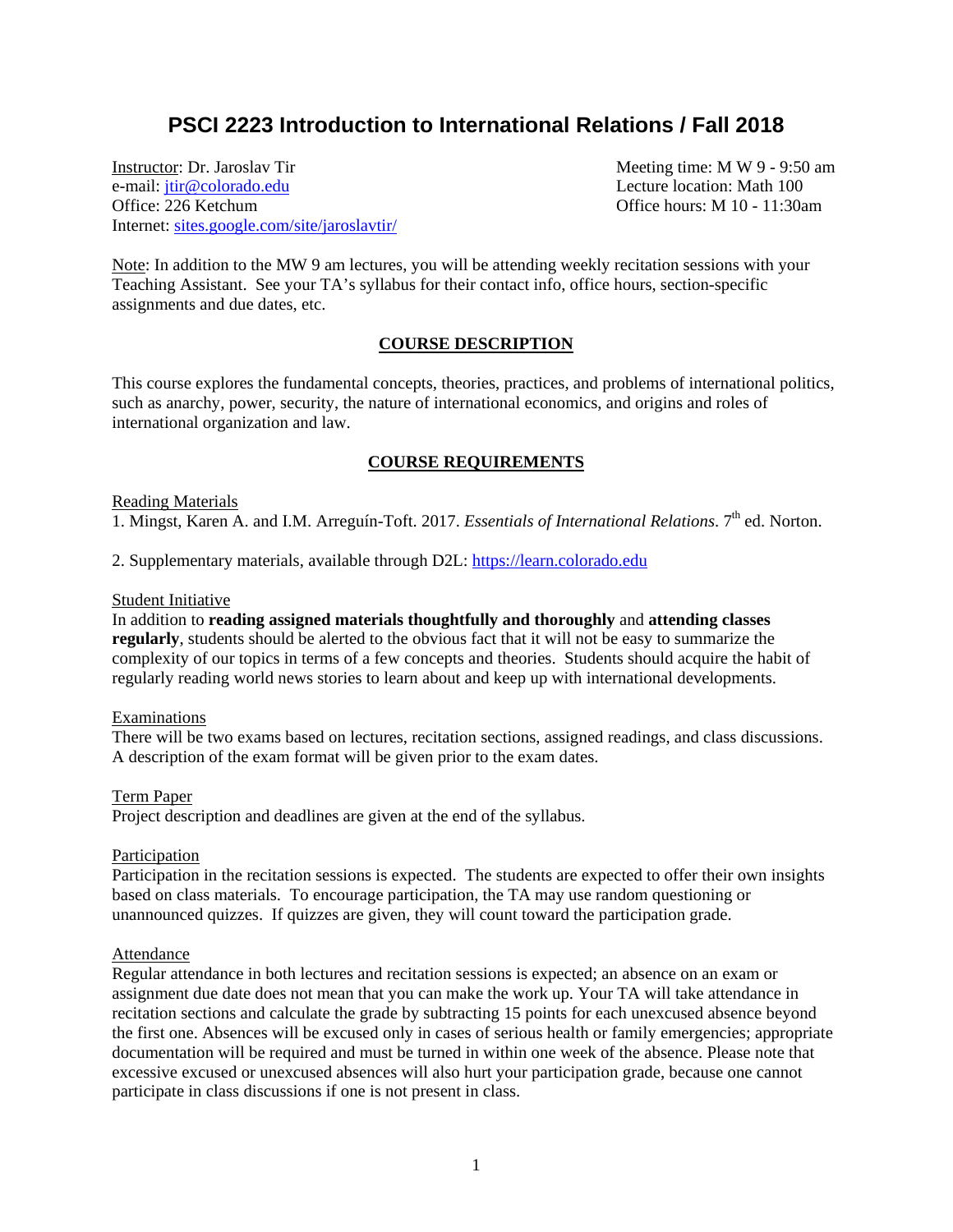# **PSCI 2223 Introduction to International Relations / Fall 2018**

Instructor: Dr. Jaroslav Tir **Meeting time: MW** 9 - 9:50 am e-mail: <u>jtir@colorado.edu</u> Lecture location: Math 100<br>Office: 226 Ketchum Office 226 Ketchum Internet: [sites.google.com/site/jaroslavtir/](https://sites.google.com/site/jaroslavtir/)

Office hours:  $M$  10 - 11:30am

Note: In addition to the MW 9 am lectures, you will be attending weekly recitation sessions with your Teaching Assistant. See your TA's syllabus for their contact info, office hours, section-specific assignments and due dates, etc.

## **COURSE DESCRIPTION**

This course explores the fundamental concepts, theories, practices, and problems of international politics, such as anarchy, power, security, the nature of international economics, and origins and roles of international organization and law.

# **COURSE REQUIREMENTS**

#### Reading Materials

1. Mingst, Karen A. and I.M. Arreguín-Toft. 2017. *Essentials of International Relations*. 7<sup>th</sup> ed. Norton.

2. Supplementary materials, available through D2L: [https://learn.colorado.edu](https://learn.colorado.edu/)

#### Student Initiative

In addition to **reading assigned materials thoughtfully and thoroughly** and **attending classes regularly**, students should be alerted to the obvious fact that it will not be easy to summarize the complexity of our topics in terms of a few concepts and theories. Students should acquire the habit of regularly reading world news stories to learn about and keep up with international developments.

#### Examinations

There will be two exams based on lectures, recitation sections, assigned readings, and class discussions. A description of the exam format will be given prior to the exam dates.

#### Term Paper

Project description and deadlines are given at the end of the syllabus.

#### **Participation**

Participation in the recitation sessions is expected. The students are expected to offer their own insights based on class materials. To encourage participation, the TA may use random questioning or unannounced quizzes. If quizzes are given, they will count toward the participation grade.

## Attendance

Regular attendance in both lectures and recitation sessions is expected; an absence on an exam or assignment due date does not mean that you can make the work up. Your TA will take attendance in recitation sections and calculate the grade by subtracting 15 points for each unexcused absence beyond the first one. Absences will be excused only in cases of serious health or family emergencies; appropriate documentation will be required and must be turned in within one week of the absence. Please note that excessive excused or unexcused absences will also hurt your participation grade, because one cannot participate in class discussions if one is not present in class.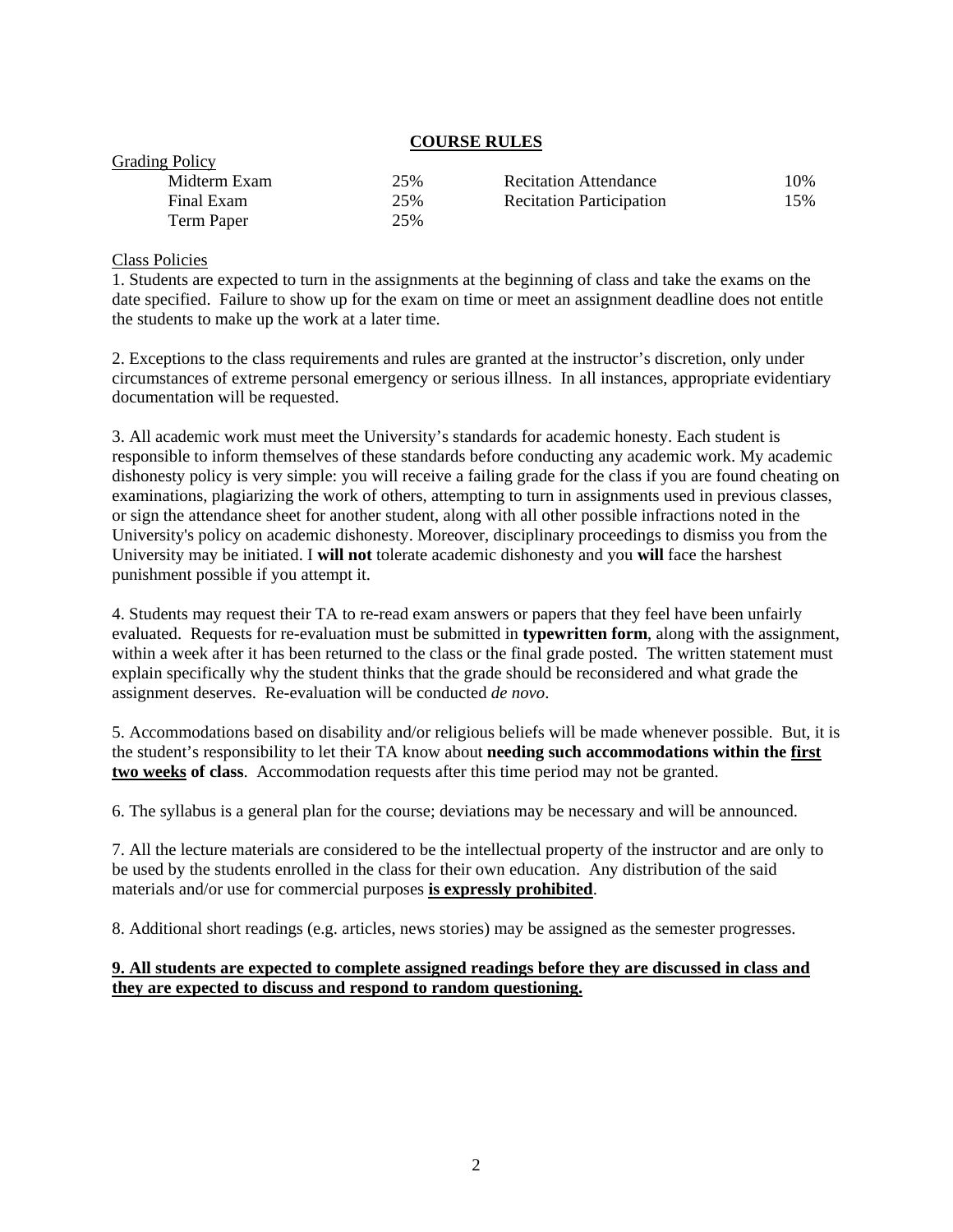# **COURSE RULES**

| <b>UT AUTHE TUILY</b> |     |                                 |     |
|-----------------------|-----|---------------------------------|-----|
| Midterm Exam          | 25% | <b>Recitation Attendance</b>    | 10% |
| Final Exam            | 25% | <b>Recitation Participation</b> | 15% |
| Term Paper            | 25% |                                 |     |

## Class Policies

 $C_{\text{modim}}$  Policy

1. Students are expected to turn in the assignments at the beginning of class and take the exams on the date specified. Failure to show up for the exam on time or meet an assignment deadline does not entitle the students to make up the work at a later time.

2. Exceptions to the class requirements and rules are granted at the instructor's discretion, only under circumstances of extreme personal emergency or serious illness. In all instances, appropriate evidentiary documentation will be requested.

3. All academic work must meet the University's standards for academic honesty. Each student is responsible to inform themselves of these standards before conducting any academic work. My academic dishonesty policy is very simple: you will receive a failing grade for the class if you are found cheating on examinations, plagiarizing the work of others, attempting to turn in assignments used in previous classes, or sign the attendance sheet for another student, along with all other possible infractions noted in the University's policy on academic dishonesty. Moreover, disciplinary proceedings to dismiss you from the University may be initiated. I **will not** tolerate academic dishonesty and you **will** face the harshest punishment possible if you attempt it.

4. Students may request their TA to re-read exam answers or papers that they feel have been unfairly evaluated. Requests for re-evaluation must be submitted in **typewritten form**, along with the assignment, within a week after it has been returned to the class or the final grade posted. The written statement must explain specifically why the student thinks that the grade should be reconsidered and what grade the assignment deserves. Re-evaluation will be conducted *de novo*.

5. Accommodations based on disability and/or religious beliefs will be made whenever possible. But, it is the student's responsibility to let their TA know about **needing such accommodations within the first two weeks of class**. Accommodation requests after this time period may not be granted.

6. The syllabus is a general plan for the course; deviations may be necessary and will be announced.

7. All the lecture materials are considered to be the intellectual property of the instructor and are only to be used by the students enrolled in the class for their own education. Any distribution of the said materials and/or use for commercial purposes **is expressly prohibited**.

8. Additional short readings (e.g. articles, news stories) may be assigned as the semester progresses.

# **9. All students are expected to complete assigned readings before they are discussed in class and they are expected to discuss and respond to random questioning.**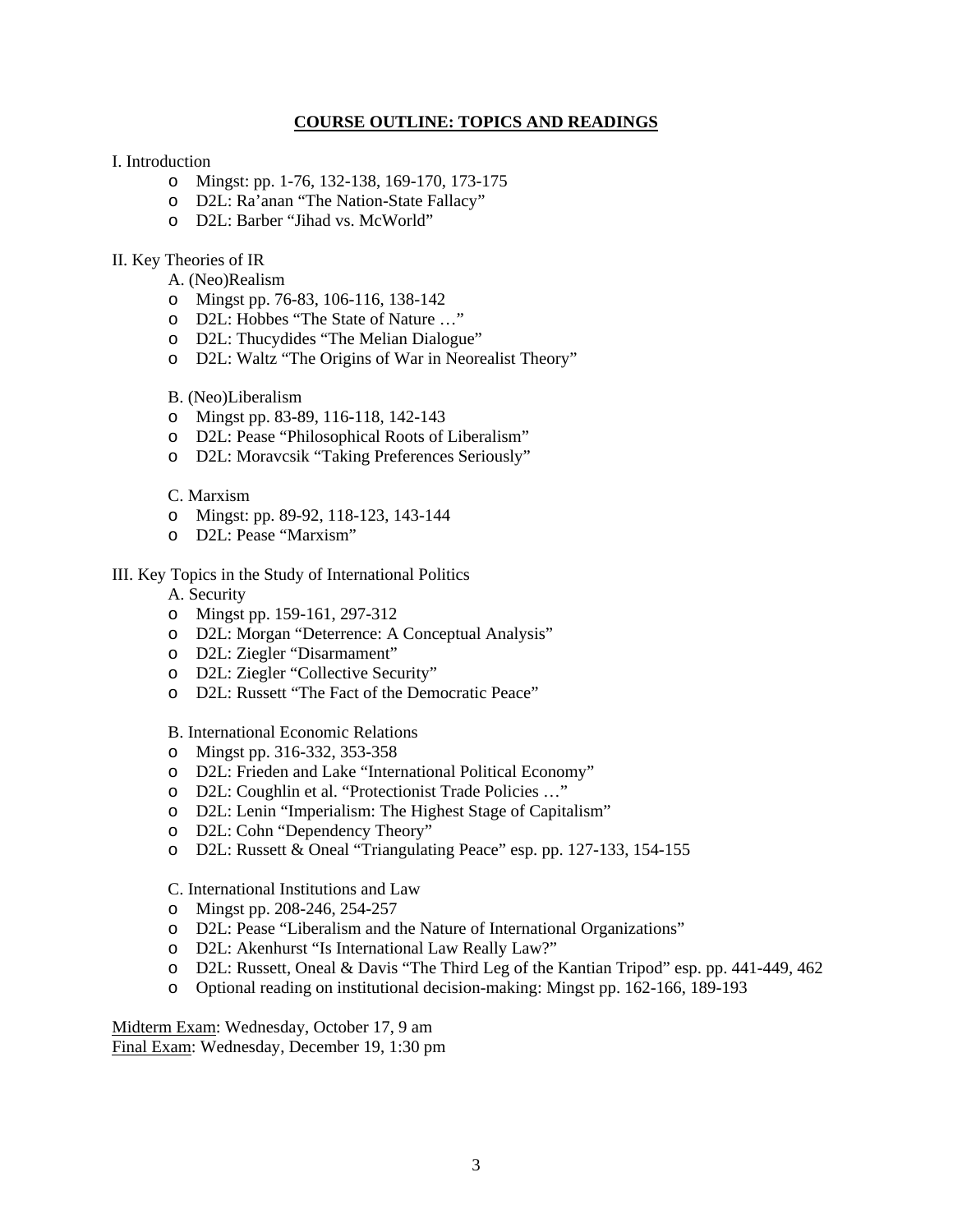## **COURSE OUTLINE: TOPICS AND READINGS**

#### I. Introduction

- o Mingst: pp. 1-76, 132-138, 169-170, 173-175
- o D2L: Ra'anan "The Nation-State Fallacy"
- o D2L: Barber "Jihad vs. McWorld"

## II. Key Theories of IR

A. (Neo)Realism

- o Mingst pp. 76-83, 106-116, 138-142
- o D2L: Hobbes "The State of Nature …"
- o D2L: Thucydides "The Melian Dialogue"
- o D2L: Waltz "The Origins of War in Neorealist Theory"

#### B. (Neo)Liberalism

- o Mingst pp. 83-89, 116-118, 142-143
- o D2L: Pease "Philosophical Roots of Liberalism"
- o D2L: Moravcsik "Taking Preferences Seriously"

#### C. Marxism

- o Mingst: pp. 89-92, 118-123, 143-144
- o D2L: Pease "Marxism"

#### III. Key Topics in the Study of International Politics

A. Security

- o Mingst pp. 159-161, 297-312
- o D2L: Morgan "Deterrence: A Conceptual Analysis"
- o D2L: Ziegler "Disarmament"
- o D2L: Ziegler "Collective Security"
- o D2L: Russett "The Fact of the Democratic Peace"

#### B. International Economic Relations

- o Mingst pp. 316-332, 353-358
- o D2L: Frieden and Lake "International Political Economy"
- o D2L: Coughlin et al. "Protectionist Trade Policies …"
- o D2L: Lenin "Imperialism: The Highest Stage of Capitalism"
- o D2L: Cohn "Dependency Theory"
- o D2L: Russett & Oneal "Triangulating Peace" esp. pp. 127-133, 154-155

C. International Institutions and Law

- o Mingst pp. 208-246, 254-257
- o D2L: Pease "Liberalism and the Nature of International Organizations"
- o D2L: Akenhurst "Is International Law Really Law?"
- o D2L: Russett, Oneal & Davis "The Third Leg of the Kantian Tripod" esp. pp. 441-449, 462
- o Optional reading on institutional decision-making: Mingst pp. 162-166, 189-193

Midterm Exam: Wednesday, October 17, 9 am Final Exam: Wednesday, December 19, 1:30 pm